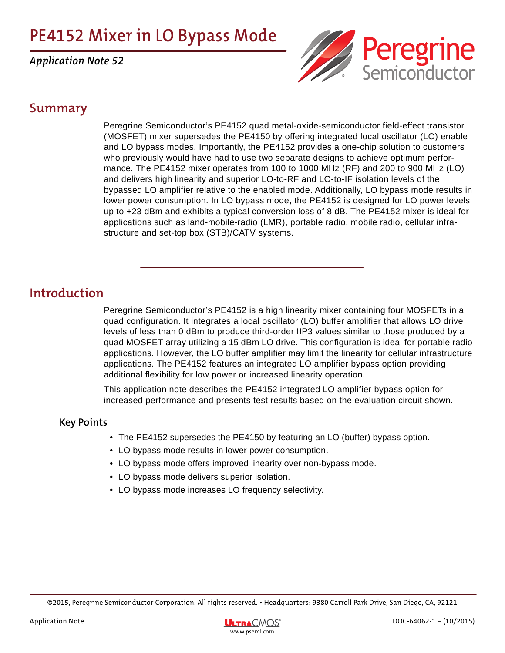# **PE4152 Mixer in LO Bypass Mode**

*Application Note 52*



### **Summary**

Peregrine Semiconductor's PE4152 quad metal-oxide-semiconductor field-effect transistor (MOSFET) mixer supersedes the PE4150 by offering integrated local oscillator (LO) enable and LO bypass modes. Importantly, the PE4152 provides a one-chip solution to customers who previously would have had to use two separate designs to achieve optimum performance. The PE4152 mixer operates from 100 to 1000 MHz (RF) and 200 to 900 MHz (LO) and delivers high linearity and superior LO-to-RF and LO-to-IF isolation levels of the bypassed LO amplifier relative to the enabled mode. Additionally, LO bypass mode results in lower power consumption. In LO bypass mode, the PE4152 is designed for LO power levels up to +23 dBm and exhibits a typical conversion loss of 8 dB. The PE4152 mixer is ideal for applications such as land-mobile-radio (LMR), portable radio, mobile radio, cellular infrastructure and set-top box (STB)/CATV systems.

## **Introduction**

Peregrine Semiconductor's PE4152 is a high linearity mixer containing four MOSFETs in a quad configuration. It integrates a local oscillator (LO) buffer amplifier that allows LO drive levels of less than 0 dBm to produce third-order IIP3 values similar to those produced by a quad MOSFET array utilizing a 15 dBm LO drive. This configuration is ideal for portable radio applications. However, the LO buffer amplifier may limit the linearity for cellular infrastructure applications. The PE4152 features an integrated LO amplifier bypass option providing additional flexibility for low power or increased linearity operation.

This application note describes the PE4152 integrated LO amplifier bypass option for increased performance and presents test results based on the evaluation circuit shown.

### **Key Points**

- The PE4152 supersedes the PE4150 by featuring an LO (buffer) bypass option.
- LO bypass mode results in lower power consumption.
- LO bypass mode offers improved linearity over non-bypass mode.
- LO bypass mode delivers superior isolation.
- LO bypass mode increases LO frequency selectivity.

<sup>©2015,</sup> Peregrine Semiconductor Corporation. All rights reserved. • Headquarters: 9380 Carroll Park Drive, San Diego, CA, 92121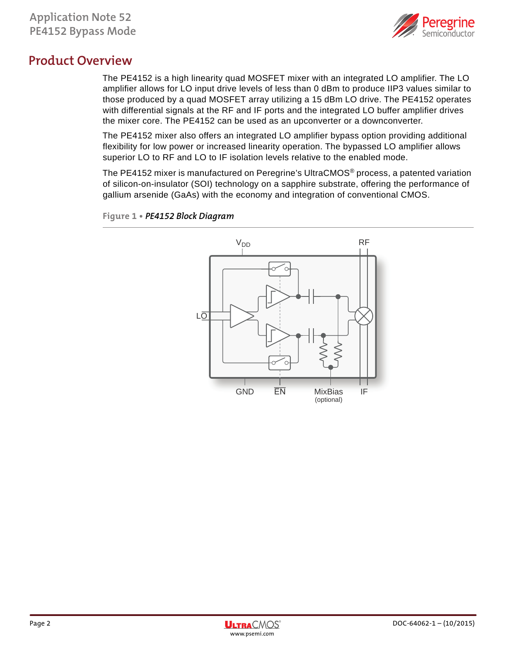

### **Product Overview**

The PE4152 is a high linearity quad MOSFET mixer with an integrated LO amplifier. The LO amplifier allows for LO input drive levels of less than 0 dBm to produce IIP3 values similar to those produced by a quad MOSFET array utilizing a 15 dBm LO drive. The PE4152 operates with differential signals at the RF and IF ports and the integrated LO buffer amplifier drives the mixer core. The PE4152 can be used as an upconverter or a downconverter.

The PE4152 mixer also offers an integrated LO amplifier bypass option providing additional flexibility for low power or increased linearity operation. The bypassed LO amplifier allows superior LO to RF and LO to IF isolation levels relative to the enabled mode.

The PE4152 mixer is manufactured on Peregrine's UltraCMOS® process, a patented variation of silicon-on-insulator (SOI) technology on a sapphire substrate, offering the performance of gallium arsenide (GaAs) with the economy and integration of conventional CMOS.



**Figure 1 •** *PE4152 Block Diagram*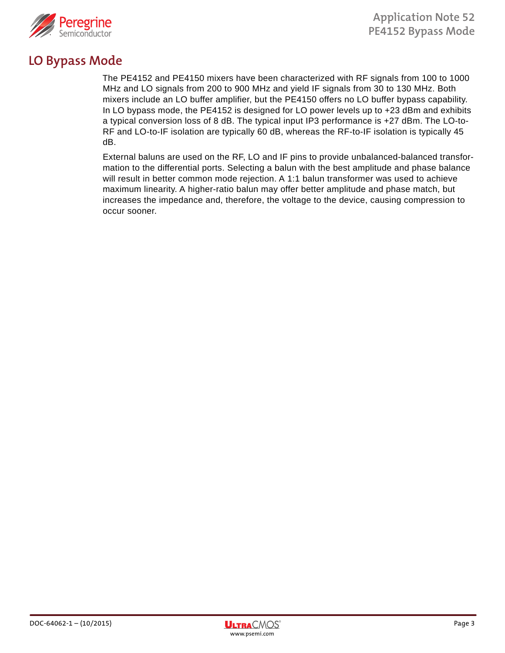

### **LO Bypass Mode**

The PE4152 and PE4150 mixers have been characterized with RF signals from 100 to 1000 MHz and LO signals from 200 to 900 MHz and yield IF signals from 30 to 130 MHz. Both mixers include an LO buffer amplifier, but the PE4150 offers no LO buffer bypass capability. In LO bypass mode, the PE4152 is designed for LO power levels up to +23 dBm and exhibits a typical conversion loss of 8 dB. The typical input IP3 performance is +27 dBm. The LO-to-RF and LO-to-IF isolation are typically 60 dB, whereas the RF-to-IF isolation is typically 45 dB.

External baluns are used on the RF, LO and IF pins to provide unbalanced-balanced transformation to the differential ports. Selecting a balun with the best amplitude and phase balance will result in better common mode rejection. A 1:1 balun transformer was used to achieve maximum linearity. A higher-ratio balun may offer better amplitude and phase match, but increases the impedance and, therefore, the voltage to the device, causing compression to occur sooner.

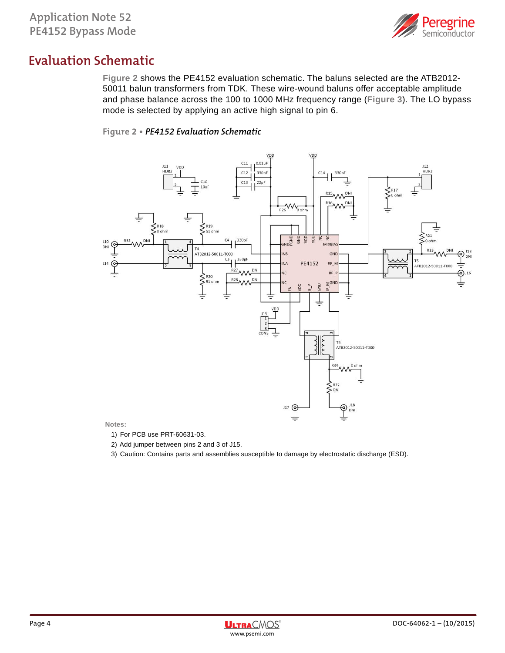

## **Evaluation Schematic**

**Figure 2** shows the PE4152 evaluation schematic. The baluns selected are the ATB2012- 50011 balun transformers from TDK. These wire-wound baluns offer acceptable amplitude and phase balance across the 100 to 1000 MHz frequency range (**Figure 3**). The LO bypass mode is selected by applying an active high signal to pin 6.

#### **Figure 2 •** *PE4152 Evaluation Schematic*



#### **Notes:**

- 1) For PCB use PRT-60631-03.
- 2) Add jumper between pins 2 and 3 of J15.
- 3) Caution: Contains parts and assemblies susceptible to damage by electrostatic discharge (ESD).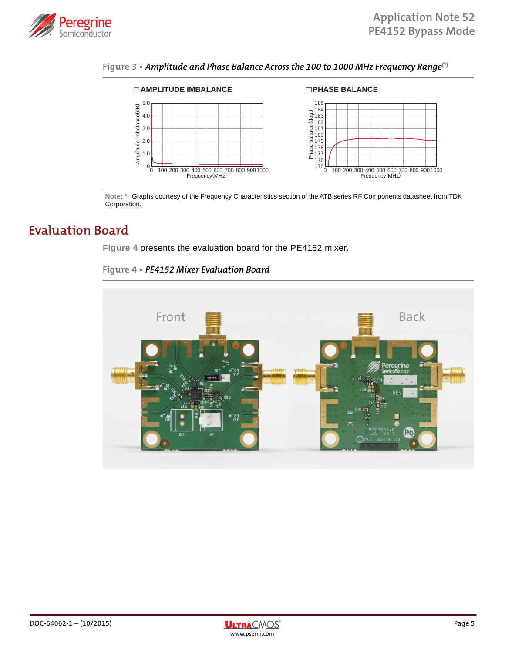





**Note: \*** Graphs courtesy of the Frequency Characteristics section of the ATB series RF Components datasheet from TDK Corporation.

### **Evaluation Board**

**Figure 4** presents the evaluation board for the PE4152 mixer.

**Figure 4 •** *PE4152 Mixer Evaluation Board*



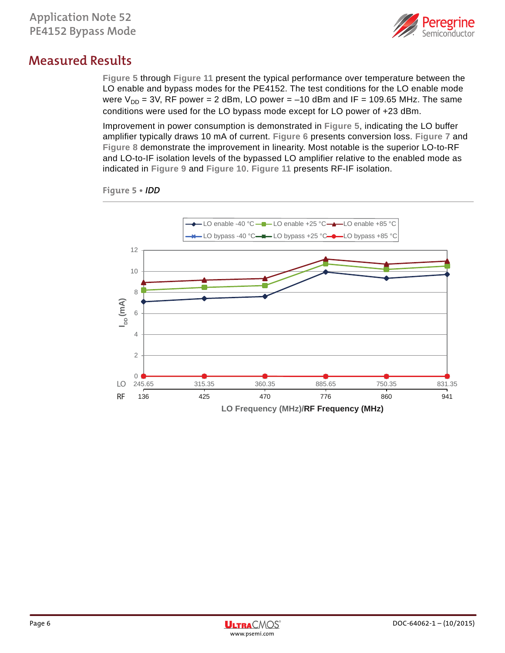

### **Measured Results**

**Figure 5** through **Figure 11** present the typical performance over temperature between the LO enable and bypass modes for the PE4152. The test conditions for the LO enable mode were  $V_{DD} = 3V$ , RF power = 2 dBm, LO power = -10 dBm and IF = 109.65 MHz. The same conditions were used for the LO bypass mode except for LO power of +23 dBm.

Improvement in power consumption is demonstrated in **Figure 5**, indicating the LO buffer amplifier typically draws 10 mA of current. **Figure 6** presents conversion loss. **Figure 7** and **Figure 8** demonstrate the improvement in linearity. Most notable is the superior LO-to-RF and LO-to-IF isolation levels of the bypassed LO amplifier relative to the enabled mode as indicated in **Figure 9** and **Figure 10**. **Figure 11** presents RF-IF isolation.



**Figure 5 •** *IDD*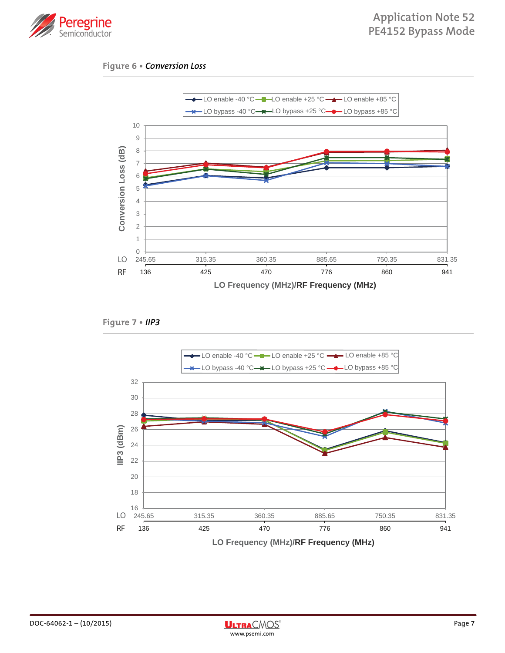

#### **Figure 6 •** *Conversion Loss*



**Figure 7 •** *IIP3*



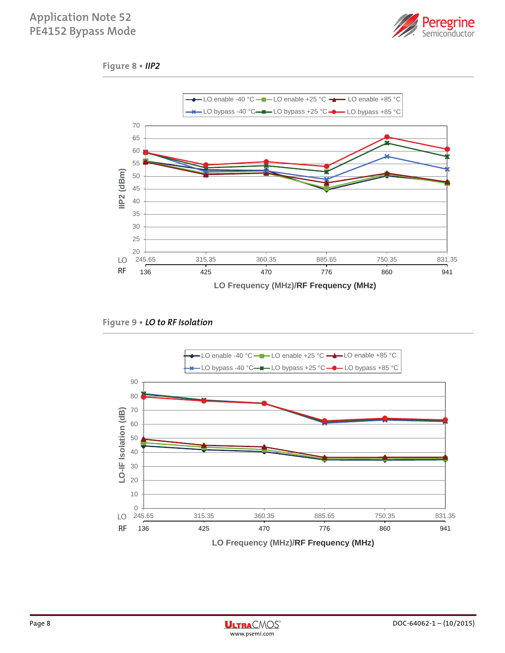### **Application Note 52 PE4152 Bypass Mode**



#### **Figure 8 •** *IIP2*





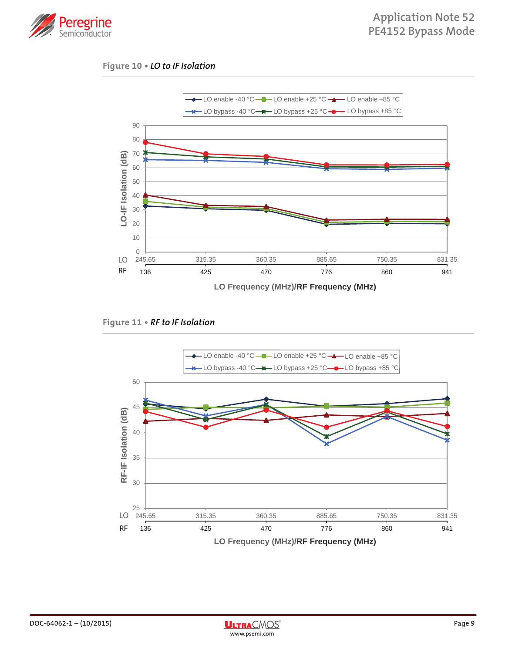

#### **Figure 10 •** *LO to IF Isolation*





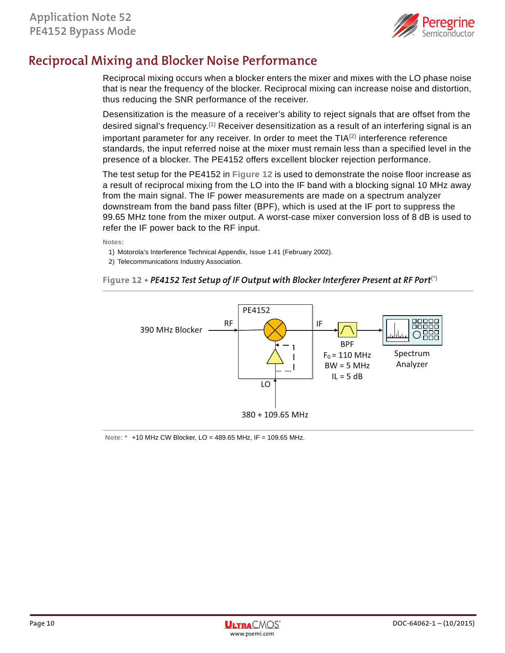

## **Reciprocal Mixing and Blocker Noise Performance**

Reciprocal mixing occurs when a blocker enters the mixer and mixes with the LO phase noise that is near the frequency of the blocker. Reciprocal mixing can increase noise and distortion, thus reducing the SNR performance of the receiver.

Desensitization is the measure of a receiver's ability to reject signals that are offset from the desired signal's frequency.**(1)** Receiver desensitization as a result of an interfering signal is an important parameter for any receiver. In order to meet the TIA**(2)** interference reference standards, the input referred noise at the mixer must remain less than a specified level in the presence of a blocker. The PE4152 offers excellent blocker rejection performance.

The test setup for the PE4152 in **Figure 12** is used to demonstrate the noise floor increase as a result of reciprocal mixing from the LO into the IF band with a blocking signal 10 MHz away from the main signal. The IF power measurements are made on a spectrum analyzer downstream from the band pass filter (BPF), which is used at the IF port to suppress the 99.65 MHz tone from the mixer output. A worst-case mixer conversion loss of 8 dB is used to refer the IF power back to the RF input.

**Notes:** 

- 1) Motorola's Interference Technical Appendix, Issue 1.41 (February 2002).
- 2) Telecommunications Industry Association.

#### **Figure 12 •** *PE4152 Test Setup of IF Output with Blocker Interferer Present at RF Port***(\*)**



#### **Note: \*** +10 MHz CW Blocker, LO = 489.65 MHz, IF = 109.65 MHz.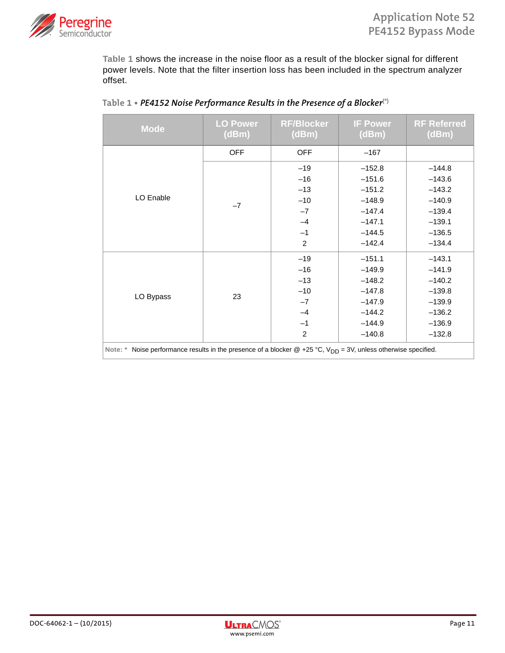

**Table 1** shows the increase in the noise floor as a result of the blocker signal for different power levels. Note that the filter insertion loss has been included in the spectrum analyzer offset.

| <b>Mode</b>                                                                                                          | <b>LO Power</b><br>(dBm) | <b>RF/Blocker</b><br>(dBm) | <b>IF Power</b><br>(dBm) | <b>RF Referred</b><br>(dBm) |
|----------------------------------------------------------------------------------------------------------------------|--------------------------|----------------------------|--------------------------|-----------------------------|
|                                                                                                                      | <b>OFF</b>               | <b>OFF</b>                 | $-167$                   |                             |
|                                                                                                                      |                          | $-19$                      | $-152.8$                 | $-144.8$                    |
|                                                                                                                      |                          | $-16$                      | $-151.6$                 | $-143.6$                    |
|                                                                                                                      |                          | $-13$                      | $-151.2$                 | $-143.2$                    |
| LO Enable                                                                                                            |                          | $-10$                      | $-148.9$                 | $-140.9$                    |
|                                                                                                                      | $-7$                     | $-7$                       | $-147.4$                 | $-139.4$                    |
|                                                                                                                      |                          | $-4$                       | $-147.1$                 | $-139.1$                    |
|                                                                                                                      |                          | $-1$                       | $-144.5$                 | $-136.5$                    |
|                                                                                                                      |                          | $\overline{2}$             | $-142.4$                 | $-134.4$                    |
|                                                                                                                      | 23                       | $-19$                      | $-151.1$                 | $-143.1$                    |
|                                                                                                                      |                          | $-16$                      | $-149.9$                 | $-141.9$                    |
|                                                                                                                      |                          | $-13$                      | $-148.2$                 | $-140.2$                    |
| LO Bypass                                                                                                            |                          | $-10$                      | $-147.8$                 | $-139.8$                    |
|                                                                                                                      |                          | $-7$                       | $-147.9$                 | $-139.9$                    |
|                                                                                                                      |                          | $-4$                       | $-144.2$                 | $-136.2$                    |
|                                                                                                                      |                          | $-1$                       | $-144.9$                 | $-136.9$                    |
|                                                                                                                      |                          | $\overline{2}$             | $-140.8$                 | $-132.8$                    |
| Note: * Noise performance results in the presence of a blocker @ +25 °C, $V_{DD} = 3V$ , unless otherwise specified. |                          |                            |                          |                             |

#### **Table 1 •** *PE4152 Noise Performance Results in the Presence of a Blocker***(\*)**

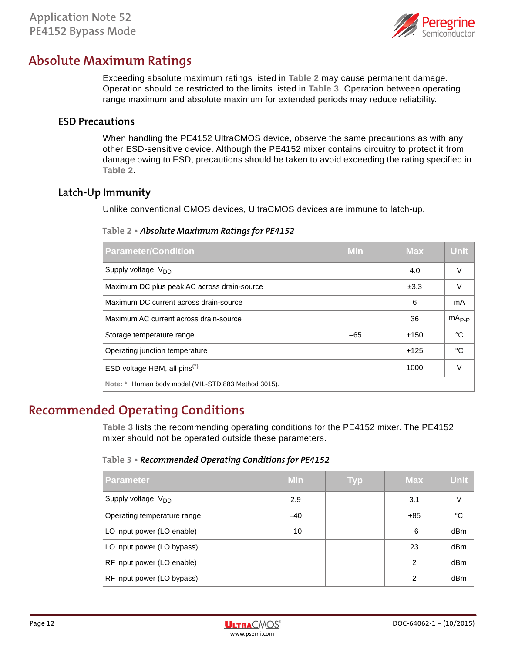

### **Absolute Maximum Ratings**

Exceeding absolute maximum ratings listed in **Table 2** may cause permanent damage. Operation should be restricted to the limits listed in **Table 3**. Operation between operating range maximum and absolute maximum for extended periods may reduce reliability.

#### **ESD Precautions**

When handling the PE4152 UltraCMOS device, observe the same precautions as with any other ESD-sensitive device. Although the PE4152 mixer contains circuitry to protect it from damage owing to ESD, precautions should be taken to avoid exceeding the rating specified in **Table 2**.

### **Latch-Up Immunity**

Unlike conventional CMOS devices, UltraCMOS devices are immune to latch-up.

#### **Table 2 •** *Absolute Maximum Ratings for PE4152*

| <b>Parameter/Condition</b>                          | Min   | <b>Max</b> | <b>Unit</b> |  |
|-----------------------------------------------------|-------|------------|-------------|--|
| Supply voltage, V <sub>DD</sub>                     |       | 4.0        | V           |  |
| Maximum DC plus peak AC across drain-source         |       | ±3.3       | $\vee$      |  |
| Maximum DC current across drain-source              |       | 6          | mA          |  |
| Maximum AC current across drain-source              |       | 36         | $mA_{P-P}$  |  |
| Storage temperature range                           | $-65$ | $+150$     | °C          |  |
| Operating junction temperature                      |       | $+125$     | °C          |  |
| ESD voltage HBM, all $pins(*)$                      |       | 1000       | V           |  |
| Note: * Human body model (MIL-STD 883 Method 3015). |       |            |             |  |

## **Recommended Operating Conditions**

**Table 3** lists the recommending operating conditions for the PE4152 mixer. The PE4152 mixer should not be operated outside these parameters.

#### **Table 3 •** *Recommended Operating Conditions for PE4152*

| <b>Parameter</b>                | <b>Min</b> | Typ | <b>Max</b> | <b>Unit</b>     |
|---------------------------------|------------|-----|------------|-----------------|
| Supply voltage, V <sub>DD</sub> | 2.9        |     | 3.1        | $\vee$          |
| Operating temperature range     | $-40$      |     | $+85$      | °C              |
| LO input power (LO enable)      | $-10$      |     | $-6$       | dB <sub>m</sub> |
| LO input power (LO bypass)      |            |     | 23         | dBm             |
| RF input power (LO enable)      |            |     | 2          | dBm             |
| RF input power (LO bypass)      |            |     | 2          | dBm             |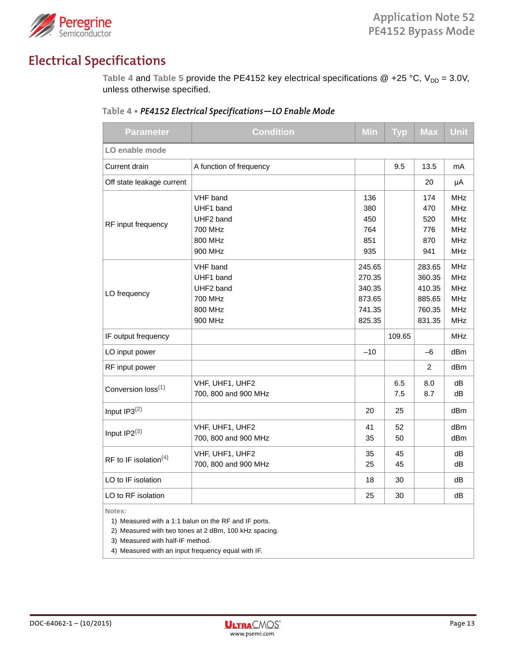

## **Electrical Specifications**

Table 4 and Table 5 provide the PE4152 key electrical specifications  $@ +25 °C$ ,  $V_{DD} = 3.0 V$ , unless otherwise specified.

| <b>Parameter</b>                  | <b>Condition</b>                                                           | Min                                                      | <b>Typ</b> | <b>Max</b>                                               | Unit                                                                             |  |
|-----------------------------------|----------------------------------------------------------------------------|----------------------------------------------------------|------------|----------------------------------------------------------|----------------------------------------------------------------------------------|--|
| LO enable mode                    |                                                                            |                                                          |            |                                                          |                                                                                  |  |
| Current drain                     | A function of frequency                                                    |                                                          | 9.5        | 13.5                                                     | mA                                                                               |  |
| Off state leakage current         |                                                                            |                                                          |            | 20                                                       | μA                                                                               |  |
| RF input frequency                | VHF band<br>UHF1 band<br>UHF2 band<br>700 MHz<br>800 MHz<br>900 MHz        | 136<br>380<br>450<br>764<br>851<br>935                   |            | 174<br>470<br>520<br>776<br>870<br>941                   | <b>MHz</b><br><b>MHz</b><br><b>MHz</b><br><b>MHz</b><br><b>MHz</b><br><b>MHz</b> |  |
| LO frequency                      | VHF band<br>UHF1 band<br>UHF2 band<br><b>700 MHz</b><br>800 MHz<br>900 MHz | 245.65<br>270.35<br>340.35<br>873.65<br>741.35<br>825.35 |            | 283.65<br>360.35<br>410.35<br>885.65<br>760.35<br>831.35 | <b>MHz</b><br><b>MHz</b><br><b>MHz</b><br><b>MHz</b><br><b>MHz</b><br><b>MHz</b> |  |
| IF output frequency               |                                                                            |                                                          | 109.65     |                                                          | <b>MHz</b>                                                                       |  |
| LO input power                    |                                                                            | $-10$                                                    |            | $-6$                                                     | dBm                                                                              |  |
| RF input power                    |                                                                            |                                                          |            | 2                                                        | dBm                                                                              |  |
| Conversion loss <sup>(1)</sup>    | VHF, UHF1, UHF2<br>700, 800 and 900 MHz                                    |                                                          | 6.5<br>7.5 | 8.0<br>8.7                                               | dВ<br>dB                                                                         |  |
| Input $IP3^{(2)}$                 |                                                                            | 20                                                       | 25         |                                                          | dBm                                                                              |  |
| Input $IP2^{(3)}$                 | VHF, UHF1, UHF2<br>700, 800 and 900 MHz                                    | 41<br>35                                                 | 52<br>50   |                                                          | dBm<br>dBm                                                                       |  |
| RF to IF isolation <sup>(4)</sup> | VHF, UHF1, UHF2<br>700, 800 and 900 MHz                                    | 35<br>25                                                 | 45<br>45   |                                                          | dB<br>dB                                                                         |  |
| LO to IF isolation                |                                                                            | 18                                                       | 30         |                                                          | dB                                                                               |  |
| LO to RF isolation                |                                                                            | 25                                                       | 30         |                                                          | dB                                                                               |  |

**Table 4 •** *PE4152 Electrical Specifications—LO Enable Mode* 

**Notes:** 

1) Measured with a 1:1 balun on the RF and IF ports.

2) Measured with two tones at 2 dBm, 100 kHz spacing.

3) Measured with half-IF method.

4) Measured with an input frequency equal with IF.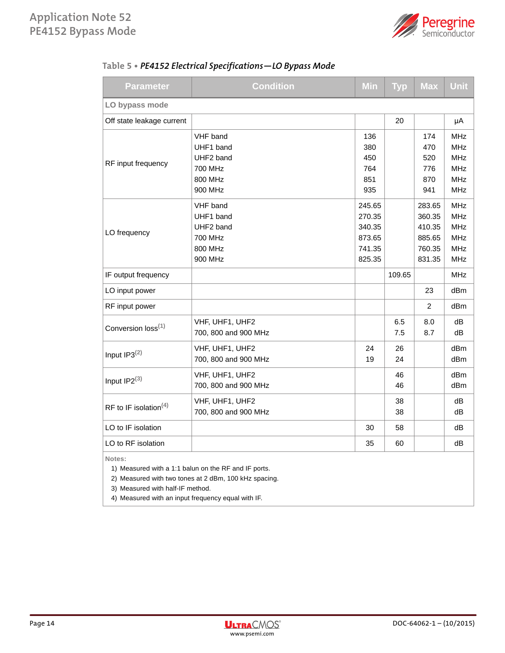

| Table 5 • PE4152 Electrical Specifications - LO Bypass Mode |
|-------------------------------------------------------------|
|                                                             |

| Parameter                                                                                                               | <b>Condition</b>                                                    | <b>Min</b>                                               | <b>Typ</b> | <b>Max</b>                                               | <b>Unit</b>                                                                      |
|-------------------------------------------------------------------------------------------------------------------------|---------------------------------------------------------------------|----------------------------------------------------------|------------|----------------------------------------------------------|----------------------------------------------------------------------------------|
| LO bypass mode                                                                                                          |                                                                     |                                                          |            |                                                          |                                                                                  |
| Off state leakage current                                                                                               |                                                                     |                                                          | 20         |                                                          | μA                                                                               |
| RF input frequency                                                                                                      | VHF band<br>UHF1 band<br>UHF2 band<br>700 MHz                       | 136<br>380<br>450<br>764                                 |            | 174<br>470<br>520<br>776                                 | <b>MHz</b><br><b>MHz</b><br><b>MHz</b><br><b>MHz</b>                             |
|                                                                                                                         | 800 MHz<br>900 MHz                                                  | 851<br>935                                               |            | 870<br>941                                               | <b>MHz</b><br><b>MHz</b>                                                         |
| LO frequency                                                                                                            | VHF band<br>UHF1 band<br>UHF2 band<br>700 MHz<br>800 MHz<br>900 MHz | 245.65<br>270.35<br>340.35<br>873.65<br>741.35<br>825.35 |            | 283.65<br>360.35<br>410.35<br>885.65<br>760.35<br>831.35 | <b>MHz</b><br><b>MHz</b><br><b>MHz</b><br><b>MHz</b><br><b>MHz</b><br><b>MHz</b> |
| IF output frequency                                                                                                     |                                                                     |                                                          | 109.65     |                                                          | MHz                                                                              |
| LO input power                                                                                                          |                                                                     |                                                          |            | 23                                                       | dBm                                                                              |
| RF input power                                                                                                          |                                                                     |                                                          |            | 2                                                        | dBm                                                                              |
| Conversion loss <sup>(1)</sup>                                                                                          | VHF, UHF1, UHF2<br>700, 800 and 900 MHz                             |                                                          | 6.5<br>7.5 | 8.0<br>8.7                                               | dB<br>dB                                                                         |
| Input IP3(2)                                                                                                            | VHF, UHF1, UHF2<br>700, 800 and 900 MHz                             | 24<br>19                                                 | 26<br>24   |                                                          | dBm<br>dBm                                                                       |
| Input $IP2^{(3)}$                                                                                                       | VHF, UHF1, UHF2<br>700, 800 and 900 MHz                             |                                                          | 46<br>46   |                                                          | dBm<br>dBm                                                                       |
| RF to IF isolation <sup>(4)</sup>                                                                                       | VHF, UHF1, UHF2<br>700, 800 and 900 MHz                             |                                                          | 38<br>38   |                                                          | dB<br>dB                                                                         |
| LO to IF isolation                                                                                                      |                                                                     | 30                                                       | 58         |                                                          | dB                                                                               |
| LO to RF isolation                                                                                                      |                                                                     | 35                                                       | 60         |                                                          | dB                                                                               |
| Notes:<br>1) Measured with a 1:1 balun on the RF and IF ports.<br>2) Measured with two tones at 2 dBm, 100 kHz spacing. |                                                                     |                                                          |            |                                                          |                                                                                  |

3) Measured with half-IF method.

4) Measured with an input frequency equal with IF.

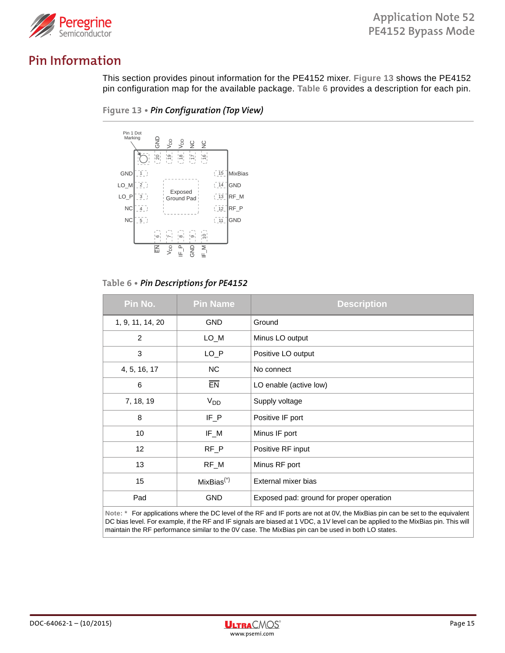

### **Pin Information**

This section provides pinout information for the PE4152 mixer. **Figure 13** shows the PE4152 pin configuration map for the available package. **Table 6** provides a description for each pin.





**Table 6 •** *Pin Descriptions for PE4152*

| Pin No.          | <b>Pin Name</b>                                                                                                                                     | <b>Description</b>                       |  |  |  |
|------------------|-----------------------------------------------------------------------------------------------------------------------------------------------------|------------------------------------------|--|--|--|
| 1, 9, 11, 14, 20 | <b>GND</b>                                                                                                                                          | Ground                                   |  |  |  |
| $\overline{2}$   | LO_M                                                                                                                                                | Minus LO output                          |  |  |  |
| 3                | $LO_P$                                                                                                                                              | Positive LO output                       |  |  |  |
| 4, 5, 16, 17     | <b>NC</b>                                                                                                                                           | No connect                               |  |  |  |
| 6                | <b>EN</b>                                                                                                                                           | LO enable (active low)                   |  |  |  |
| 7, 18, 19        | V <sub>DD</sub>                                                                                                                                     | Supply voltage                           |  |  |  |
| 8                | $IF_P$                                                                                                                                              | Positive IF port                         |  |  |  |
| 10               | IF_M                                                                                                                                                | Minus IF port                            |  |  |  |
| 12               | $RF_P$                                                                                                                                              | Positive RF input                        |  |  |  |
| 13               | RF_M                                                                                                                                                | Minus RF port                            |  |  |  |
| 15               | $MixBias(*)$                                                                                                                                        | External mixer bias                      |  |  |  |
| Pad              | <b>GND</b>                                                                                                                                          | Exposed pad: ground for proper operation |  |  |  |
| .                | $\sim$ $\sim$ $\sim$ $\sim$ $\sim$ $\sim$<br>$\mathbf{p} = \mathbf{p} + \mathbf{p}$ , and $\mathbf{p} = \mathbf{p}$ , and $\mathbf{p} = \mathbf{p}$ |                                          |  |  |  |

**Note: \*** For applications where the DC level of the RF and IF ports are not at 0V, the MixBias pin can be set to the equivalent DC bias level. For example, if the RF and IF signals are biased at 1 VDC, a 1V level can be applied to the MixBias pin. This will maintain the RF performance similar to the 0V case. The MixBias pin can be used in both LO states.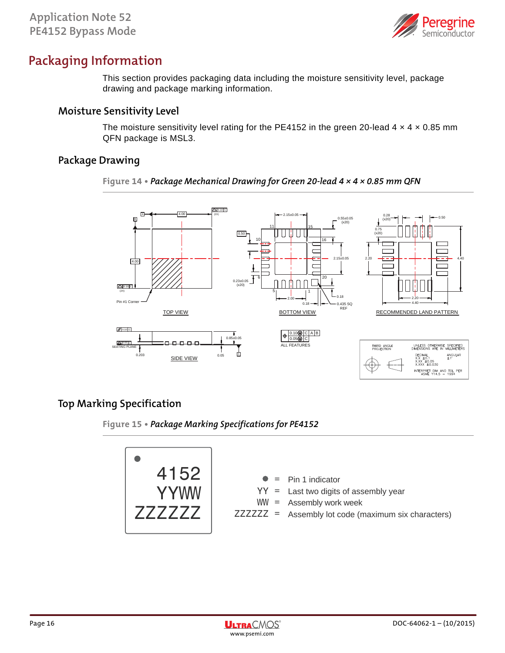

### **Packaging Information**

This section provides packaging data including the moisture sensitivity level, package drawing and package marking information.

### **Moisture Sensitivity Level**

The moisture sensitivity level rating for the PE4152 in the green 20-lead  $4 \times 4 \times 0.85$  mm QFN package is MSL3.

### **Package Drawing**

#### **Figure 14 •** *Package Mechanical Drawing for Green 20-lead 4 × 4 × 0.85 mm QFN*



### **Top Marking Specification**

**Figure 15 •** *Package Marking Specifications for PE4152*